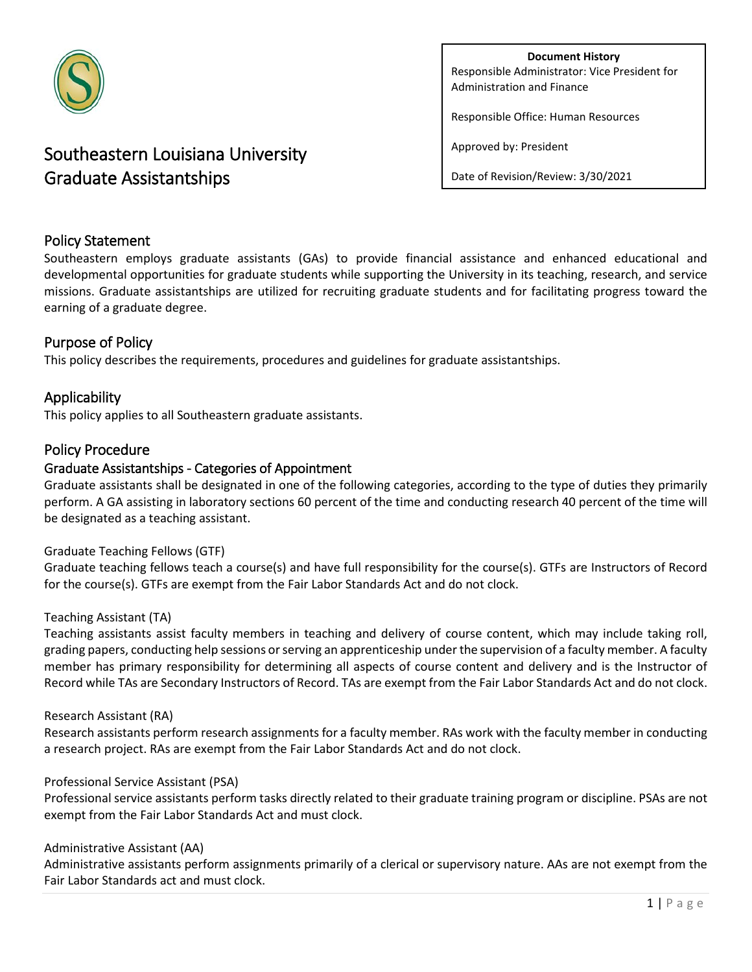

# Southeastern Louisiana University Graduate Assistantships

**Document History** Responsible Administrator: Vice President for Administration and Finance

Responsible Office: Human Resources

Approved by: President

Date of Revision/Review: 3/30/2021

# Policy Statement

Southeastern employs graduate assistants (GAs) to provide financial assistance and enhanced educational and developmental opportunities for graduate students while supporting the University in its teaching, research, and service missions. Graduate assistantships are utilized for recruiting graduate students and for facilitating progress toward the earning of a graduate degree.

# Purpose of Policy

This policy describes the requirements, procedures and guidelines for graduate assistantships.

# Applicability

This policy applies to all Southeastern graduate assistants.

## Policy Procedure

## Graduate Assistantships - Categories of Appointment

Graduate assistants shall be designated in one of the following categories, according to the type of duties they primarily perform. A GA assisting in laboratory sections 60 percent of the time and conducting research 40 percent of the time will be designated as a teaching assistant.

#### Graduate Teaching Fellows (GTF)

Graduate teaching fellows teach a course(s) and have full responsibility for the course(s). GTFs are Instructors of Record for the course(s). GTFs are exempt from the Fair Labor Standards Act and do not clock.

#### Teaching Assistant (TA)

Teaching assistants assist faculty members in teaching and delivery of course content, which may include taking roll, grading papers, conducting help sessions or serving an apprenticeship under the supervision of a faculty member. A faculty member has primary responsibility for determining all aspects of course content and delivery and is the Instructor of Record while TAs are Secondary Instructors of Record. TAs are exempt from the Fair Labor Standards Act and do not clock.

#### Research Assistant (RA)

Research assistants perform research assignments for a faculty member. RAs work with the faculty member in conducting a research project. RAs are exempt from the Fair Labor Standards Act and do not clock.

#### Professional Service Assistant (PSA)

Professional service assistants perform tasks directly related to their graduate training program or discipline. PSAs are not exempt from the Fair Labor Standards Act and must clock.

#### Administrative Assistant (AA)

Administrative assistants perform assignments primarily of a clerical or supervisory nature. AAs are not exempt from the Fair Labor Standards act and must clock.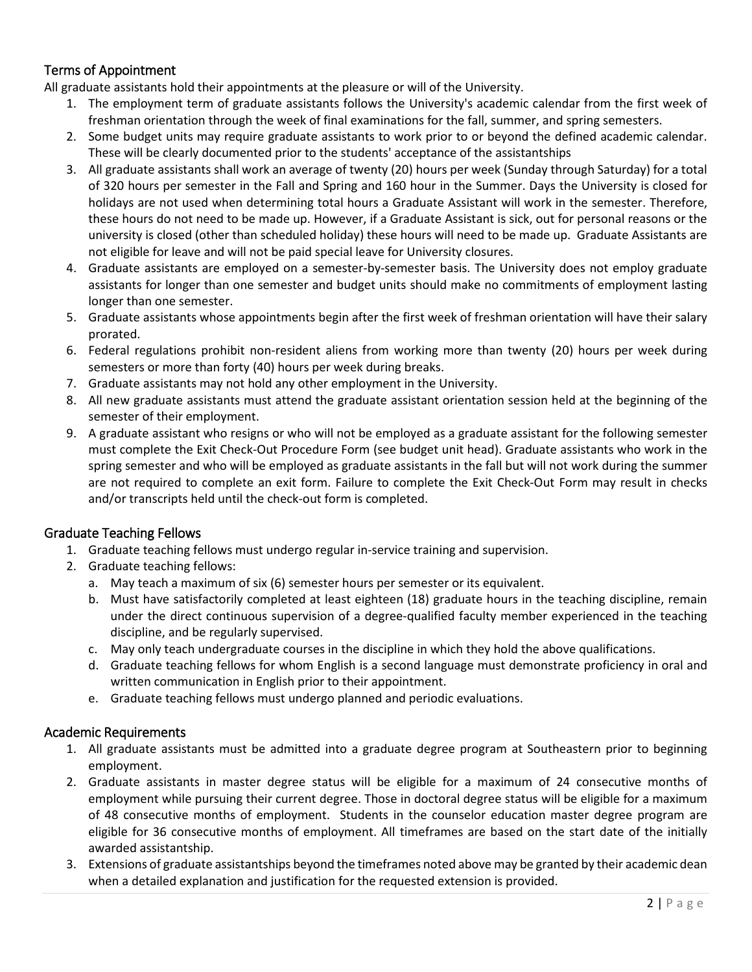# Terms of Appointment

All graduate assistants hold their appointments at the pleasure or will of the University.

- 1. The employment term of graduate assistants follows the University's academic calendar from the first week of freshman orientation through the week of final examinations for the fall, summer, and spring semesters.
- 2. Some budget units may require graduate assistants to work prior to or beyond the defined academic calendar. These will be clearly documented prior to the students' acceptance of the assistantships
- 3. All graduate assistants shall work an average of twenty (20) hours per week (Sunday through Saturday) for a total of 320 hours per semester in the Fall and Spring and 160 hour in the Summer. Days the University is closed for holidays are not used when determining total hours a Graduate Assistant will work in the semester. Therefore, these hours do not need to be made up. However, if a Graduate Assistant is sick, out for personal reasons or the university is closed (other than scheduled holiday) these hours will need to be made up. Graduate Assistants are not eligible for leave and will not be paid special leave for University closures.
- 4. Graduate assistants are employed on a semester-by-semester basis. The University does not employ graduate assistants for longer than one semester and budget units should make no commitments of employment lasting longer than one semester.
- 5. Graduate assistants whose appointments begin after the first week of freshman orientation will have their salary prorated.
- 6. Federal regulations prohibit non-resident aliens from working more than twenty (20) hours per week during semesters or more than forty (40) hours per week during breaks.
- 7. Graduate assistants may not hold any other employment in the University.
- 8. All new graduate assistants must attend the graduate assistant orientation session held at the beginning of the semester of their employment.
- 9. A graduate assistant who resigns or who will not be employed as a graduate assistant for the following semester must complete the Exit Check-Out Procedure Form (see budget unit head). Graduate assistants who work in the spring semester and who will be employed as graduate assistants in the fall but will not work during the summer are not required to complete an exit form. Failure to complete the Exit Check-Out Form may result in checks and/or transcripts held until the check-out form is completed.

## Graduate Teaching Fellows

- 1. Graduate teaching fellows must undergo regular in-service training and supervision.
- 2. Graduate teaching fellows:
	- a. May teach a maximum of six (6) semester hours per semester or its equivalent.
	- b. Must have satisfactorily completed at least eighteen (18) graduate hours in the teaching discipline, remain under the direct continuous supervision of a degree-qualified faculty member experienced in the teaching discipline, and be regularly supervised.
	- c. May only teach undergraduate courses in the discipline in which they hold the above qualifications.
	- d. Graduate teaching fellows for whom English is a second language must demonstrate proficiency in oral and written communication in English prior to their appointment.
	- e. Graduate teaching fellows must undergo planned and periodic evaluations.

## Academic Requirements

- 1. All graduate assistants must be admitted into a graduate degree program at Southeastern prior to beginning employment.
- 2. Graduate assistants in master degree status will be eligible for a maximum of 24 consecutive months of employment while pursuing their current degree. Those in doctoral degree status will be eligible for a maximum of 48 consecutive months of employment. Students in the counselor education master degree program are eligible for 36 consecutive months of employment. All timeframes are based on the start date of the initially awarded assistantship.
- 3. Extensions of graduate assistantships beyond the timeframes noted above may be granted by their academic dean when a detailed explanation and justification for the requested extension is provided.